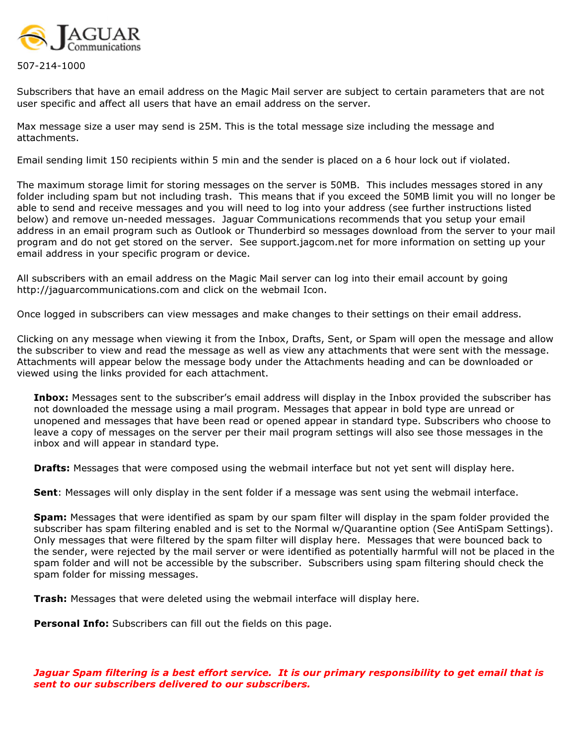

507-214-1000

Subscribers that have an email address on the Magic Mail server are subject to certain parameters that are not user specific and affect all users that have an email address on the server.

Max message size a user may send is 25M. This is the total message size including the message and attachments.

Email sending limit 150 recipients within 5 min and the sender is placed on a 6 hour lock out if violated.

The maximum storage limit for storing messages on the server is 50MB. This includes messages stored in any folder including spam but not including trash. This means that if you exceed the 50MB limit you will no longer be able to send and receive messages and you will need to log into your address (see further instructions listed below) and remove un-needed messages. Jaguar Communications recommends that you setup your email address in an email program such as Outlook or Thunderbird so messages download from the server to your mail program and do not get stored on the server. See support.jagcom.net for more information on setting up your email address in your specific program or device.

All subscribers with an email address on the Magic Mail server can log into their email account by going http://jaguarcommunications.com and click on the webmail Icon.

Once logged in subscribers can view messages and make changes to their settings on their email address.

Clicking on any message when viewing it from the Inbox, Drafts, Sent, or Spam will open the message and allow the subscriber to view and read the message as well as view any attachments that were sent with the message. Attachments will appear below the message body under the Attachments heading and can be downloaded or viewed using the links provided for each attachment.

Inbox: Messages sent to the subscriber's email address will display in the Inbox provided the subscriber has not downloaded the message using a mail program. Messages that appear in bold type are unread or unopened and messages that have been read or opened appear in standard type. Subscribers who choose to leave a copy of messages on the server per their mail program settings will also see those messages in the inbox and will appear in standard type.

**Drafts:** Messages that were composed using the webmail interface but not yet sent will display here.

Sent: Messages will only display in the sent folder if a message was sent using the webmail interface.

Spam: Messages that were identified as spam by our spam filter will display in the spam folder provided the subscriber has spam filtering enabled and is set to the Normal w/Quarantine option (See AntiSpam Settings). Only messages that were filtered by the spam filter will display here. Messages that were bounced back to the sender, were rejected by the mail server or were identified as potentially harmful will not be placed in the spam folder and will not be accessible by the subscriber. Subscribers using spam filtering should check the spam folder for missing messages.

**Trash:** Messages that were deleted using the webmail interface will display here.

Personal Info: Subscribers can fill out the fields on this page.

Jaguar Spam filtering is a best effort service. It is our primary responsibility to get email that is sent to our subscribers delivered to our subscribers.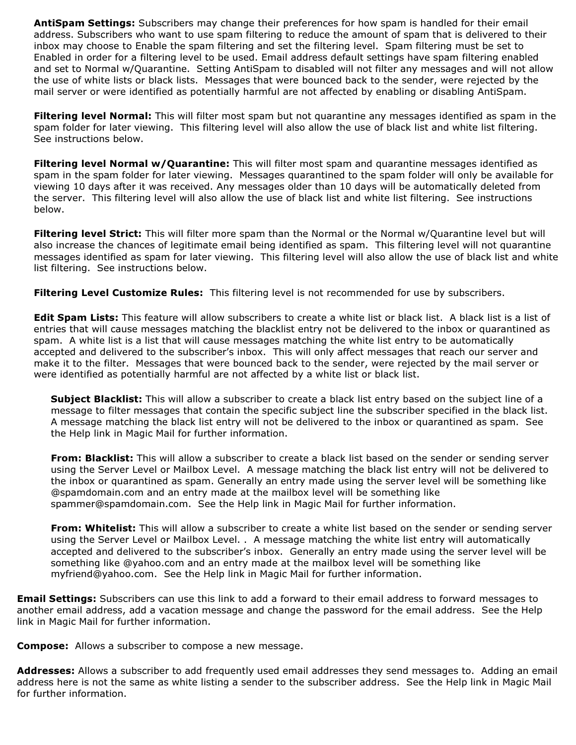AntiSpam Settings: Subscribers may change their preferences for how spam is handled for their email address. Subscribers who want to use spam filtering to reduce the amount of spam that is delivered to their inbox may choose to Enable the spam filtering and set the filtering level. Spam filtering must be set to Enabled in order for a filtering level to be used. Email address default settings have spam filtering enabled and set to Normal w/Quarantine. Setting AntiSpam to disabled will not filter any messages and will not allow the use of white lists or black lists. Messages that were bounced back to the sender, were rejected by the mail server or were identified as potentially harmful are not affected by enabling or disabling AntiSpam.

**Filtering level Normal:** This will filter most spam but not quarantine any messages identified as spam in the spam folder for later viewing. This filtering level will also allow the use of black list and white list filtering. See instructions below.

Filtering level Normal w/Quarantine: This will filter most spam and quarantine messages identified as spam in the spam folder for later viewing. Messages quarantined to the spam folder will only be available for viewing 10 days after it was received. Any messages older than 10 days will be automatically deleted from the server. This filtering level will also allow the use of black list and white list filtering. See instructions below.

Filtering level Strict: This will filter more spam than the Normal or the Normal w/Quarantine level but will also increase the chances of legitimate email being identified as spam. This filtering level will not quarantine messages identified as spam for later viewing. This filtering level will also allow the use of black list and white list filtering. See instructions below.

Filtering Level Customize Rules: This filtering level is not recommended for use by subscribers.

**Edit Spam Lists:** This feature will allow subscribers to create a white list or black list. A black list is a list of entries that will cause messages matching the blacklist entry not be delivered to the inbox or quarantined as spam. A white list is a list that will cause messages matching the white list entry to be automatically accepted and delivered to the subscriber's inbox. This will only affect messages that reach our server and make it to the filter. Messages that were bounced back to the sender, were rejected by the mail server or were identified as potentially harmful are not affected by a white list or black list.

Subject Blacklist: This will allow a subscriber to create a black list entry based on the subject line of a message to filter messages that contain the specific subject line the subscriber specified in the black list. A message matching the black list entry will not be delivered to the inbox or quarantined as spam. See the Help link in Magic Mail for further information.

**From: Blacklist:** This will allow a subscriber to create a black list based on the sender or sending server using the Server Level or Mailbox Level. A message matching the black list entry will not be delivered to the inbox or quarantined as spam. Generally an entry made using the server level will be something like @spamdomain.com and an entry made at the mailbox level will be something like spammer@spamdomain.com. See the Help link in Magic Mail for further information.

**From: Whitelist:** This will allow a subscriber to create a white list based on the sender or sending server using the Server Level or Mailbox Level. . A message matching the white list entry will automatically accepted and delivered to the subscriber's inbox. Generally an entry made using the server level will be something like @yahoo.com and an entry made at the mailbox level will be something like myfriend@yahoo.com. See the Help link in Magic Mail for further information.

**Email Settings:** Subscribers can use this link to add a forward to their email address to forward messages to another email address, add a vacation message and change the password for the email address. See the Help link in Magic Mail for further information.

**Compose:** Allows a subscriber to compose a new message.

Addresses: Allows a subscriber to add frequently used email addresses they send messages to. Adding an email address here is not the same as white listing a sender to the subscriber address. See the Help link in Magic Mail for further information.